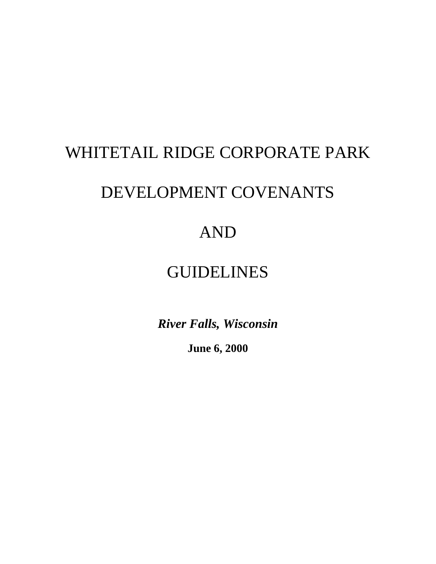# WHITETAIL RIDGE CORPORATE PARK

# DEVELOPMENT COVENANTS

# AND

# GUIDELINES

*River Falls, Wisconsin*

**June 6, 2000**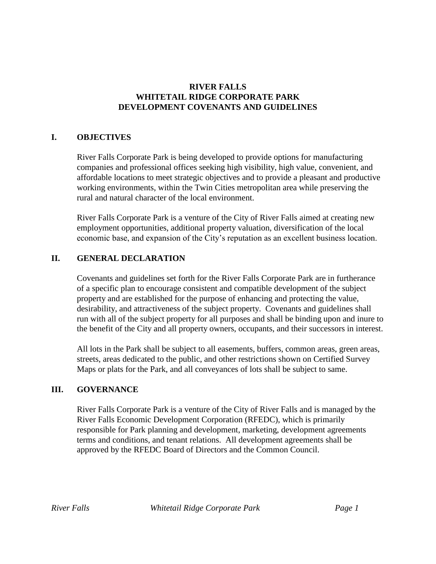# **RIVER FALLS WHITETAIL RIDGE CORPORATE PARK DEVELOPMENT COVENANTS AND GUIDELINES**

# **I. OBJECTIVES**

River Falls Corporate Park is being developed to provide options for manufacturing companies and professional offices seeking high visibility, high value, convenient, and affordable locations to meet strategic objectives and to provide a pleasant and productive working environments, within the Twin Cities metropolitan area while preserving the rural and natural character of the local environment.

River Falls Corporate Park is a venture of the City of River Falls aimed at creating new employment opportunities, additional property valuation, diversification of the local economic base, and expansion of the City's reputation as an excellent business location.

# **II. GENERAL DECLARATION**

Covenants and guidelines set forth for the River Falls Corporate Park are in furtherance of a specific plan to encourage consistent and compatible development of the subject property and are established for the purpose of enhancing and protecting the value, desirability, and attractiveness of the subject property. Covenants and guidelines shall run with all of the subject property for all purposes and shall be binding upon and inure to the benefit of the City and all property owners, occupants, and their successors in interest.

All lots in the Park shall be subject to all easements, buffers, common areas, green areas, streets, areas dedicated to the public, and other restrictions shown on Certified Survey Maps or plats for the Park, and all conveyances of lots shall be subject to same.

# **III. GOVERNANCE**

River Falls Corporate Park is a venture of the City of River Falls and is managed by the River Falls Economic Development Corporation (RFEDC), which is primarily responsible for Park planning and development, marketing, development agreements terms and conditions, and tenant relations. All development agreements shall be approved by the RFEDC Board of Directors and the Common Council.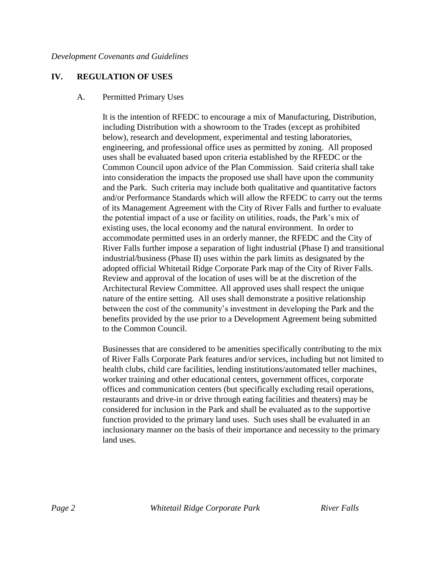# **IV. REGULATION OF USES**

#### A. Permitted Primary Uses

It is the intention of RFEDC to encourage a mix of Manufacturing, Distribution, including Distribution with a showroom to the Trades (except as prohibited below), research and development, experimental and testing laboratories, engineering, and professional office uses as permitted by zoning. All proposed uses shall be evaluated based upon criteria established by the RFEDC or the Common Council upon advice of the Plan Commission. Said criteria shall take into consideration the impacts the proposed use shall have upon the community and the Park. Such criteria may include both qualitative and quantitative factors and/or Performance Standards which will allow the RFEDC to carry out the terms of its Management Agreement with the City of River Falls and further to evaluate the potential impact of a use or facility on utilities, roads, the Park's mix of existing uses, the local economy and the natural environment. In order to accommodate permitted uses in an orderly manner, the RFEDC and the City of River Falls further impose a separation of light industrial (Phase I) and transitional industrial/business (Phase II) uses within the park limits as designated by the adopted official Whitetail Ridge Corporate Park map of the City of River Falls. Review and approval of the location of uses will be at the discretion of the Architectural Review Committee. All approved uses shall respect the unique nature of the entire setting. All uses shall demonstrate a positive relationship between the cost of the community's investment in developing the Park and the benefits provided by the use prior to a Development Agreement being submitted to the Common Council.

Businesses that are considered to be amenities specifically contributing to the mix of River Falls Corporate Park features and/or services, including but not limited to health clubs, child care facilities, lending institutions/automated teller machines, worker training and other educational centers, government offices, corporate offices and communication centers (but specifically excluding retail operations, restaurants and drive-in or drive through eating facilities and theaters) may be considered for inclusion in the Park and shall be evaluated as to the supportive function provided to the primary land uses. Such uses shall be evaluated in an inclusionary manner on the basis of their importance and necessity to the primary land uses.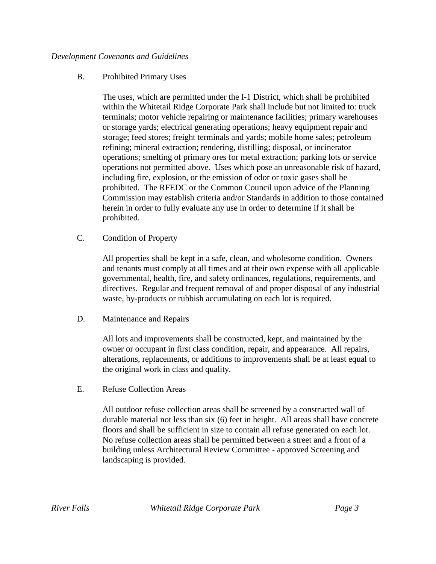# B. Prohibited Primary Uses

The uses, which are permitted under the I-1 District, which shall be prohibited within the Whitetail Ridge Corporate Park shall include but not limited to: truck terminals; motor vehicle repairing or maintenance facilities; primary warehouses or storage yards; electrical generating operations; heavy equipment repair and storage; feed stores; freight terminals and yards; mobile home sales; petroleum refining; mineral extraction; rendering, distilling; disposal, or incinerator operations; smelting of primary ores for metal extraction; parking lots or service operations not permitted above. Uses which pose an unreasonable risk of hazard, including fire, explosion, or the emission of odor or toxic gases shall be prohibited. The RFEDC or the Common Council upon advice of the Planning Commission may establish criteria and/or Standards in addition to those contained herein in order to fully evaluate any use in order to determine if it shall be prohibited.

# C. Condition of Property

All properties shall be kept in a safe, clean, and wholesome condition. Owners and tenants must comply at all times and at their own expense with all applicable governmental, health, fire, and safety ordinances, regulations, requirements, and directives. Regular and frequent removal of and proper disposal of any industrial waste, by-products or rubbish accumulating on each lot is required.

# D. Maintenance and Repairs

All lots and improvements shall be constructed, kept, and maintained by the owner or occupant in first class condition, repair, and appearance. All repairs, alterations, replacements, or additions to improvements shall be at least equal to the original work in class and quality.

E. Refuse Collection Areas

All outdoor refuse collection areas shall be screened by a constructed wall of durable material not less than six (6) feet in height. All areas shall have concrete floors and shall be sufficient in size to contain all refuse generated on each lot. No refuse collection areas shall be permitted between a street and a front of a building unless Architectural Review Committee - approved Screening and landscaping is provided.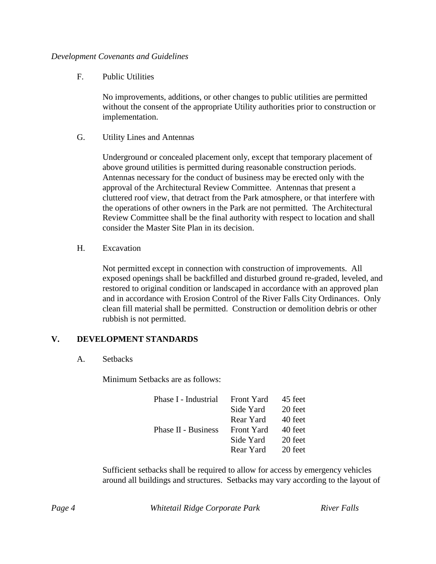F. Public Utilities

No improvements, additions, or other changes to public utilities are permitted without the consent of the appropriate Utility authorities prior to construction or implementation.

G. Utility Lines and Antennas

Underground or concealed placement only, except that temporary placement of above ground utilities is permitted during reasonable construction periods. Antennas necessary for the conduct of business may be erected only with the approval of the Architectural Review Committee. Antennas that present a cluttered roof view, that detract from the Park atmosphere, or that interfere with the operations of other owners in the Park are not permitted. The Architectural Review Committee shall be the final authority with respect to location and shall consider the Master Site Plan in its decision.

H. Excavation

Not permitted except in connection with construction of improvements. All exposed openings shall be backfilled and disturbed ground re-graded, leveled, and restored to original condition or landscaped in accordance with an approved plan and in accordance with Erosion Control of the River Falls City Ordinances. Only clean fill material shall be permitted. Construction or demolition debris or other rubbish is not permitted.

# **V. DEVELOPMENT STANDARDS**

A. Setbacks

Minimum Setbacks are as follows:

| Phase I - Industrial       | Front Yard | 45 feet |
|----------------------------|------------|---------|
|                            | Side Yard  | 20 feet |
|                            | Rear Yard  | 40 feet |
| <b>Phase II - Business</b> | Front Yard | 40 feet |
|                            | Side Yard  | 20 feet |
|                            | Rear Yard  | 20 feet |

Sufficient setbacks shall be required to allow for access by emergency vehicles around all buildings and structures. Setbacks may vary according to the layout of

*Page 4 Whitetail Ridge Corporate Park River Falls*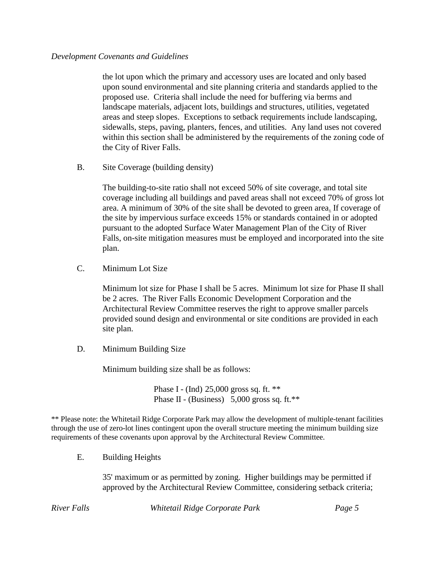the lot upon which the primary and accessory uses are located and only based upon sound environmental and site planning criteria and standards applied to the proposed use. Criteria shall include the need for buffering via berms and landscape materials, adjacent lots, buildings and structures, utilities, vegetated areas and steep slopes. Exceptions to setback requirements include landscaping, sidewalls, steps, paving, planters, fences, and utilities. Any land uses not covered within this section shall be administered by the requirements of the zoning code of the City of River Falls.

B. Site Coverage (building density)

The building-to-site ratio shall not exceed 50% of site coverage, and total site coverage including all buildings and paved areas shall not exceed 70% of gross lot area. A minimum of 30% of the site shall be devoted to green area. If coverage of the site by impervious surface exceeds 15% or standards contained in or adopted pursuant to the adopted Surface Water Management Plan of the City of River Falls, on-site mitigation measures must be employed and incorporated into the site plan.

C. Minimum Lot Size

Minimum lot size for Phase I shall be 5 acres. Minimum lot size for Phase II shall be 2 acres. The River Falls Economic Development Corporation and the Architectural Review Committee reserves the right to approve smaller parcels provided sound design and environmental or site conditions are provided in each site plan.

D. Minimum Building Size

Minimum building size shall be as follows:

Phase I - (Ind) 25,000 gross sq. ft. \*\* Phase II - (Business) 5,000 gross sq. ft.\*\*

\*\* Please note: the Whitetail Ridge Corporate Park may allow the development of multiple-tenant facilities through the use of zero-lot lines contingent upon the overall structure meeting the minimum building size requirements of these covenants upon approval by the Architectural Review Committee.

E. Building Heights

35' maximum or as permitted by zoning. Higher buildings may be permitted if approved by the Architectural Review Committee, considering setback criteria;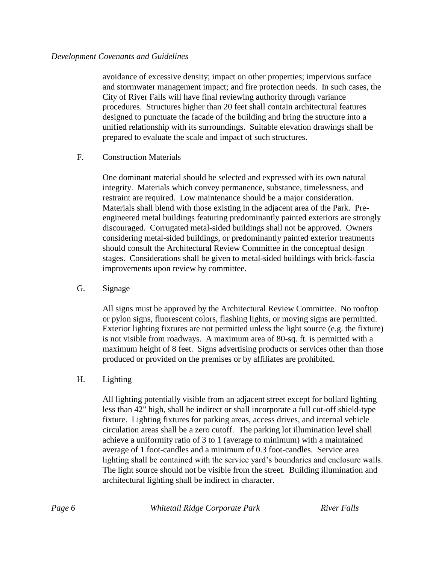avoidance of excessive density; impact on other properties; impervious surface and stormwater management impact; and fire protection needs. In such cases, the City of River Falls will have final reviewing authority through variance procedures. Structures higher than 20 feet shall contain architectural features designed to punctuate the facade of the building and bring the structure into a unified relationship with its surroundings. Suitable elevation drawings shall be prepared to evaluate the scale and impact of such structures.

# F. Construction Materials

One dominant material should be selected and expressed with its own natural integrity. Materials which convey permanence, substance, timelessness, and restraint are required. Low maintenance should be a major consideration. Materials shall blend with those existing in the adjacent area of the Park. Preengineered metal buildings featuring predominantly painted exteriors are strongly discouraged. Corrugated metal-sided buildings shall not be approved. Owners considering metal-sided buildings, or predominantly painted exterior treatments should consult the Architectural Review Committee in the conceptual design stages. Considerations shall be given to metal-sided buildings with brick-fascia improvements upon review by committee.

# G. Signage

All signs must be approved by the Architectural Review Committee. No rooftop or pylon signs, fluorescent colors, flashing lights, or moving signs are permitted. Exterior lighting fixtures are not permitted unless the light source (e.g. the fixture) is not visible from roadways. A maximum area of 80-sq. ft. is permitted with a maximum height of 8 feet. Signs advertising products or services other than those produced or provided on the premises or by affiliates are prohibited.

# H. Lighting

All lighting potentially visible from an adjacent street except for bollard lighting less than 42" high, shall be indirect or shall incorporate a full cut-off shield-type fixture. Lighting fixtures for parking areas, access drives, and internal vehicle circulation areas shall be a zero cutoff. The parking lot illumination level shall achieve a uniformity ratio of 3 to 1 (average to minimum) with a maintained average of 1 foot-candles and a minimum of 0.3 foot-candles. Service area lighting shall be contained with the service yard's boundaries and enclosure walls. The light source should not be visible from the street. Building illumination and architectural lighting shall be indirect in character.

*Page 6 Whitetail Ridge Corporate Park River Falls*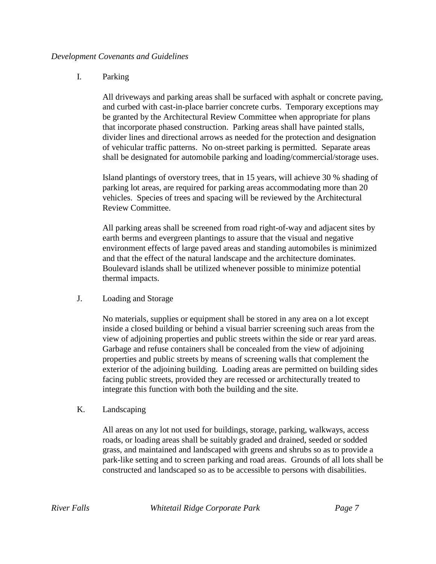## I. Parking

All driveways and parking areas shall be surfaced with asphalt or concrete paving, and curbed with cast-in-place barrier concrete curbs. Temporary exceptions may be granted by the Architectural Review Committee when appropriate for plans that incorporate phased construction. Parking areas shall have painted stalls, divider lines and directional arrows as needed for the protection and designation of vehicular traffic patterns. No on-street parking is permitted. Separate areas shall be designated for automobile parking and loading/commercial/storage uses.

Island plantings of overstory trees, that in 15 years, will achieve 30 % shading of parking lot areas, are required for parking areas accommodating more than 20 vehicles. Species of trees and spacing will be reviewed by the Architectural Review Committee.

All parking areas shall be screened from road right-of-way and adjacent sites by earth berms and evergreen plantings to assure that the visual and negative environment effects of large paved areas and standing automobiles is minimized and that the effect of the natural landscape and the architecture dominates. Boulevard islands shall be utilized whenever possible to minimize potential thermal impacts.

J. Loading and Storage

No materials, supplies or equipment shall be stored in any area on a lot except inside a closed building or behind a visual barrier screening such areas from the view of adjoining properties and public streets within the side or rear yard areas. Garbage and refuse containers shall be concealed from the view of adjoining properties and public streets by means of screening walls that complement the exterior of the adjoining building. Loading areas are permitted on building sides facing public streets, provided they are recessed or architecturally treated to integrate this function with both the building and the site.

#### K. Landscaping

All areas on any lot not used for buildings, storage, parking, walkways, access roads, or loading areas shall be suitably graded and drained, seeded or sodded grass, and maintained and landscaped with greens and shrubs so as to provide a park-like setting and to screen parking and road areas. Grounds of all lots shall be constructed and landscaped so as to be accessible to persons with disabilities.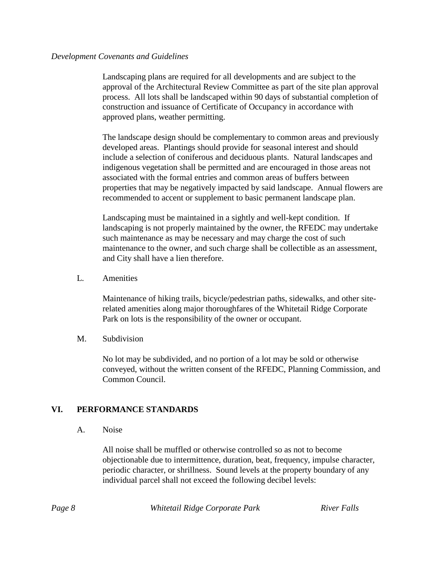Landscaping plans are required for all developments and are subject to the approval of the Architectural Review Committee as part of the site plan approval process. All lots shall be landscaped within 90 days of substantial completion of construction and issuance of Certificate of Occupancy in accordance with approved plans, weather permitting.

The landscape design should be complementary to common areas and previously developed areas. Plantings should provide for seasonal interest and should include a selection of coniferous and deciduous plants. Natural landscapes and indigenous vegetation shall be permitted and are encouraged in those areas not associated with the formal entries and common areas of buffers between properties that may be negatively impacted by said landscape. Annual flowers are recommended to accent or supplement to basic permanent landscape plan.

Landscaping must be maintained in a sightly and well-kept condition. If landscaping is not properly maintained by the owner, the RFEDC may undertake such maintenance as may be necessary and may charge the cost of such maintenance to the owner, and such charge shall be collectible as an assessment, and City shall have a lien therefore.

L. Amenities

Maintenance of hiking trails, bicycle/pedestrian paths, sidewalks, and other siterelated amenities along major thoroughfares of the Whitetail Ridge Corporate Park on lots is the responsibility of the owner or occupant.

M. Subdivision

No lot may be subdivided, and no portion of a lot may be sold or otherwise conveyed, without the written consent of the RFEDC, Planning Commission, and Common Council.

# **VI. PERFORMANCE STANDARDS**

A. Noise

All noise shall be muffled or otherwise controlled so as not to become objectionable due to intermittence, duration, beat, frequency, impulse character, periodic character, or shrillness. Sound levels at the property boundary of any individual parcel shall not exceed the following decibel levels:

|--|

*Page 8 Whitetail Ridge Corporate Park River Falls*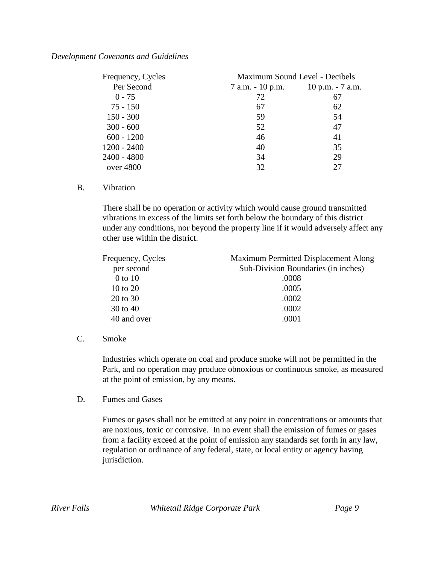| Frequency, Cycles | Maximum Sound Level - Decibels |                   |
|-------------------|--------------------------------|-------------------|
| Per Second        | 7 a.m. - 10 p.m.               | 10 p.m. $-7$ a.m. |
| $0 - 75$          | 72                             | 67                |
| $75 - 150$        | 67                             | 62                |
| $150 - 300$       | 59                             | 54                |
| $300 - 600$       | 52                             | 47                |
| $600 - 1200$      | 46                             | 41                |
| $1200 - 2400$     | 40                             | 35                |
| $2400 - 4800$     | 34                             | 29                |
| over $4800$       | 32                             | 27                |

#### B. Vibration

There shall be no operation or activity which would cause ground transmitted vibrations in excess of the limits set forth below the boundary of this district under any conditions, nor beyond the property line if it would adversely affect any other use within the district.

| Maximum Permitted Displacement Along |
|--------------------------------------|
| Sub-Division Boundaries (in inches)  |
| .0008                                |
| .0005                                |
| .0002                                |
| .0002                                |
| .0001                                |
|                                      |

#### C. Smoke

Industries which operate on coal and produce smoke will not be permitted in the Park, and no operation may produce obnoxious or continuous smoke, as measured at the point of emission, by any means.

D. Fumes and Gases

Fumes or gases shall not be emitted at any point in concentrations or amounts that are noxious, toxic or corrosive. In no event shall the emission of fumes or gases from a facility exceed at the point of emission any standards set forth in any law, regulation or ordinance of any federal, state, or local entity or agency having jurisdiction.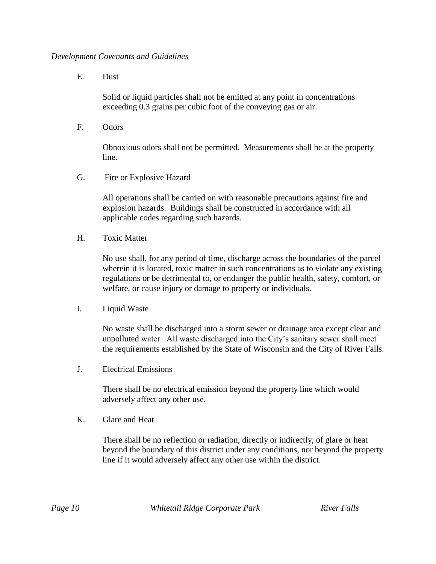E. Dust

Solid or liquid particles shall not be emitted at any point in concentrations exceeding 0.3 grains per cubic foot of the conveying gas or air.

F. Odors

Obnoxious odors shall not be permitted. Measurements shall be at the property line.

G. Fire or Explosive Hazard

All operations shall be carried on with reasonable precautions against fire and explosion hazards. Buildings shall be constructed in accordance with all applicable codes regarding such hazards.

H. Toxic Matter

No use shall, for any period of time, discharge across the boundaries of the parcel wherein it is located, toxic matter in such concentrations as to violate any existing regulations or be detrimental to, or endanger the public health, safety, comfort, or welfare, or cause injury or damage to property or individuals.

I. Liquid Waste

No waste shall be discharged into a storm sewer or drainage area except clear and unpolluted water. All waste discharged into the City's sanitary sewer shall meet the requirements established by the State of Wisconsin and the City of River Falls.

J. Electrical Emissions

There shall be no electrical emission beyond the property line which would adversely affect any other use.

K. Glare and Heat

There shall be no reflection or radiation, directly or indirectly, of glare or heat beyond the boundary of this district under any conditions, nor beyond the property line if it would adversely affect any other use within the district.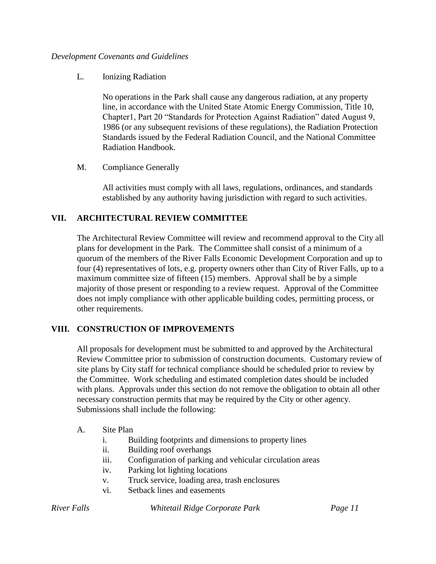L. Ionizing Radiation

No operations in the Park shall cause any dangerous radiation, at any property line, in accordance with the United State Atomic Energy Commission, Title 10, Chapter1, Part 20 "Standards for Protection Against Radiation" dated August 9, 1986 (or any subsequent revisions of these regulations), the Radiation Protection Standards issued by the Federal Radiation Council, and the National Committee Radiation Handbook.

M. Compliance Generally

All activities must comply with all laws, regulations, ordinances, and standards established by any authority having jurisdiction with regard to such activities.

# **VII. ARCHITECTURAL REVIEW COMMITTEE**

The Architectural Review Committee will review and recommend approval to the City all plans for development in the Park. The Committee shall consist of a minimum of a quorum of the members of the River Falls Economic Development Corporation and up to four (4) representatives of lots, e.g. property owners other than City of River Falls, up to a maximum committee size of fifteen (15) members. Approval shall be by a simple majority of those present or responding to a review request. Approval of the Committee does not imply compliance with other applicable building codes, permitting process, or other requirements.

# **VIII. CONSTRUCTION OF IMPROVEMENTS**

All proposals for development must be submitted to and approved by the Architectural Review Committee prior to submission of construction documents. Customary review of site plans by City staff for technical compliance should be scheduled prior to review by the Committee. Work scheduling and estimated completion dates should be included with plans. Approvals under this section do not remove the obligation to obtain all other necessary construction permits that may be required by the City or other agency. Submissions shall include the following:

- A. Site Plan
	- i. Building footprints and dimensions to property lines
	- ii. Building roof overhangs
	- iii. Configuration of parking and vehicular circulation areas
	- iv. Parking lot lighting locations
	- v. Truck service, loading area, trash enclosures
	- vi. Setback lines and easements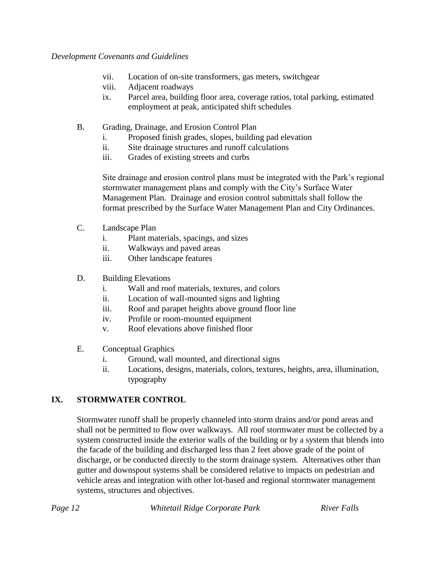- vii. Location of on-site transformers, gas meters, switchgear
- viii. Adjacent roadways
- ix. Parcel area, building floor area, coverage ratios, total parking, estimated employment at peak, anticipated shift schedules
- B. Grading, Drainage, and Erosion Control Plan
	- i. Proposed finish grades, slopes, building pad elevation
	- ii. Site drainage structures and runoff calculations
	- iii. Grades of existing streets and curbs

Site drainage and erosion control plans must be integrated with the Park's regional stormwater management plans and comply with the City's Surface Water Management Plan. Drainage and erosion control submittals shall follow the format prescribed by the Surface Water Management Plan and City Ordinances.

- C. Landscape Plan
	- i. Plant materials, spacings, and sizes
	- ii. Walkways and paved areas
	- iii. Other landscape features
- D. Building Elevations
	- i. Wall and roof materials, textures, and colors
	- ii. Location of wall-mounted signs and lighting
	- iii. Roof and parapet heights above ground floor line
	- iv. Profile or room-mounted equipment
	- v. Roof elevations above finished floor
- E. Conceptual Graphics
	- i. Ground, wall mounted, and directional signs
	- ii. Locations, designs, materials, colors, textures, heights, area, illumination, typography

# **IX. STORMWATER CONTROL**

Stormwater runoff shall be properly channeled into storm drains and/or pond areas and shall not be permitted to flow over walkways. All roof stormwater must be collected by a system constructed inside the exterior walls of the building or by a system that blends into the facade of the building and discharged less than 2 feet above grade of the point of discharge, or be conducted directly to the storm drainage system. Alternatives other than gutter and downspout systems shall be considered relative to impacts on pedestrian and vehicle areas and integration with other lot-based and regional stormwater management systems, structures and objectives.

*Page 12 Whitetail Ridge Corporate Park River Falls*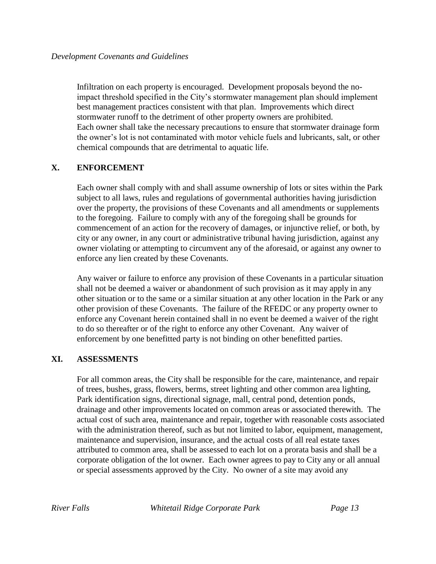Infiltration on each property is encouraged. Development proposals beyond the noimpact threshold specified in the City's stormwater management plan should implement best management practices consistent with that plan. Improvements which direct stormwater runoff to the detriment of other property owners are prohibited. Each owner shall take the necessary precautions to ensure that stormwater drainage form the owner's lot is not contaminated with motor vehicle fuels and lubricants, salt, or other chemical compounds that are detrimental to aquatic life.

# **X. ENFORCEMENT**

Each owner shall comply with and shall assume ownership of lots or sites within the Park subject to all laws, rules and regulations of governmental authorities having jurisdiction over the property, the provisions of these Covenants and all amendments or supplements to the foregoing. Failure to comply with any of the foregoing shall be grounds for commencement of an action for the recovery of damages, or injunctive relief, or both, by city or any owner, in any court or administrative tribunal having jurisdiction, against any owner violating or attempting to circumvent any of the aforesaid, or against any owner to enforce any lien created by these Covenants.

Any waiver or failure to enforce any provision of these Covenants in a particular situation shall not be deemed a waiver or abandonment of such provision as it may apply in any other situation or to the same or a similar situation at any other location in the Park or any other provision of these Covenants. The failure of the RFEDC or any property owner to enforce any Covenant herein contained shall in no event be deemed a waiver of the right to do so thereafter or of the right to enforce any other Covenant. Any waiver of enforcement by one benefitted party is not binding on other benefitted parties.

# **XI. ASSESSMENTS**

For all common areas, the City shall be responsible for the care, maintenance, and repair of trees, bushes, grass, flowers, berms, street lighting and other common area lighting, Park identification signs, directional signage, mall, central pond, detention ponds, drainage and other improvements located on common areas or associated therewith. The actual cost of such area, maintenance and repair, together with reasonable costs associated with the administration thereof, such as but not limited to labor, equipment, management, maintenance and supervision, insurance, and the actual costs of all real estate taxes attributed to common area, shall be assessed to each lot on a prorata basis and shall be a corporate obligation of the lot owner. Each owner agrees to pay to City any or all annual or special assessments approved by the City. No owner of a site may avoid any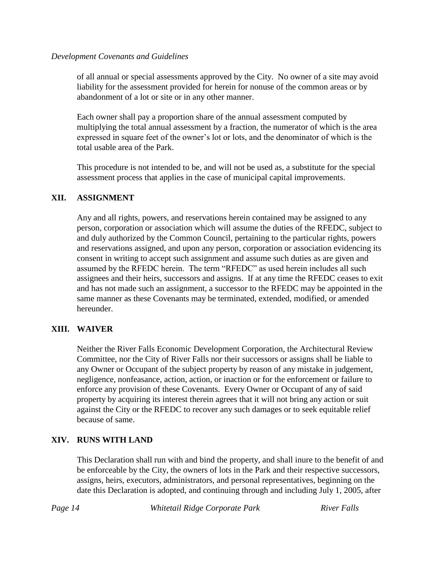of all annual or special assessments approved by the City. No owner of a site may avoid liability for the assessment provided for herein for nonuse of the common areas or by abandonment of a lot or site or in any other manner.

Each owner shall pay a proportion share of the annual assessment computed by multiplying the total annual assessment by a fraction, the numerator of which is the area expressed in square feet of the owner's lot or lots, and the denominator of which is the total usable area of the Park.

This procedure is not intended to be, and will not be used as, a substitute for the special assessment process that applies in the case of municipal capital improvements.

# **XII. ASSIGNMENT**

Any and all rights, powers, and reservations herein contained may be assigned to any person, corporation or association which will assume the duties of the RFEDC, subject to and duly authorized by the Common Council, pertaining to the particular rights, powers and reservations assigned, and upon any person, corporation or association evidencing its consent in writing to accept such assignment and assume such duties as are given and assumed by the RFEDC herein. The term "RFEDC" as used herein includes all such assignees and their heirs, successors and assigns. If at any time the RFEDC ceases to exit and has not made such an assignment, a successor to the RFEDC may be appointed in the same manner as these Covenants may be terminated, extended, modified, or amended hereunder.

# **XIII. WAIVER**

Neither the River Falls Economic Development Corporation, the Architectural Review Committee, nor the City of River Falls nor their successors or assigns shall be liable to any Owner or Occupant of the subject property by reason of any mistake in judgement, negligence, nonfeasance, action, action, or inaction or for the enforcement or failure to enforce any provision of these Covenants. Every Owner or Occupant of any of said property by acquiring its interest therein agrees that it will not bring any action or suit against the City or the RFEDC to recover any such damages or to seek equitable relief because of same.

# **XIV. RUNS WITH LAND**

This Declaration shall run with and bind the property, and shall inure to the benefit of and be enforceable by the City, the owners of lots in the Park and their respective successors, assigns, heirs, executors, administrators, and personal representatives, beginning on the date this Declaration is adopted, and continuing through and including July 1, 2005, after

*Page 14 Whitetail Ridge Corporate Park River Falls*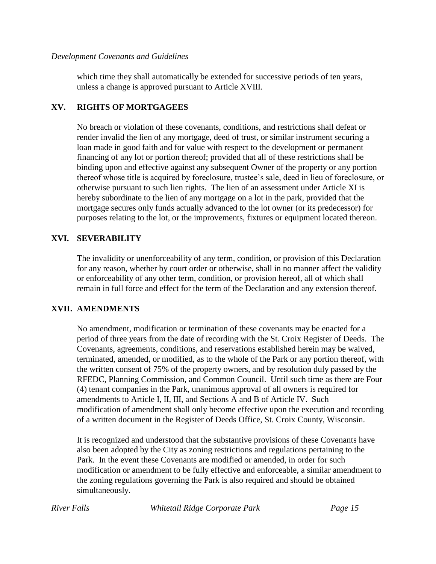which time they shall automatically be extended for successive periods of ten years, unless a change is approved pursuant to Article XVIII.

# **XV. RIGHTS OF MORTGAGEES**

No breach or violation of these covenants, conditions, and restrictions shall defeat or render invalid the lien of any mortgage, deed of trust, or similar instrument securing a loan made in good faith and for value with respect to the development or permanent financing of any lot or portion thereof; provided that all of these restrictions shall be binding upon and effective against any subsequent Owner of the property or any portion thereof whose title is acquired by foreclosure, trustee's sale, deed in lieu of foreclosure, or otherwise pursuant to such lien rights. The lien of an assessment under Article XI is hereby subordinate to the lien of any mortgage on a lot in the park, provided that the mortgage secures only funds actually advanced to the lot owner (or its predecessor) for purposes relating to the lot, or the improvements, fixtures or equipment located thereon.

# **XVI. SEVERABILITY**

The invalidity or unenforceability of any term, condition, or provision of this Declaration for any reason, whether by court order or otherwise, shall in no manner affect the validity or enforceability of any other term, condition, or provision hereof, all of which shall remain in full force and effect for the term of the Declaration and any extension thereof.

# **XVII. AMENDMENTS**

No amendment, modification or termination of these covenants may be enacted for a period of three years from the date of recording with the St. Croix Register of Deeds. The Covenants, agreements, conditions, and reservations established herein may be waived, terminated, amended, or modified, as to the whole of the Park or any portion thereof, with the written consent of 75% of the property owners, and by resolution duly passed by the RFEDC, Planning Commission, and Common Council. Until such time as there are Four (4) tenant companies in the Park, unanimous approval of all owners is required for amendments to Article I, II, III, and Sections A and B of Article IV. Such modification of amendment shall only become effective upon the execution and recording of a written document in the Register of Deeds Office, St. Croix County, Wisconsin.

It is recognized and understood that the substantive provisions of these Covenants have also been adopted by the City as zoning restrictions and regulations pertaining to the Park. In the event these Covenants are modified or amended, in order for such modification or amendment to be fully effective and enforceable, a similar amendment to the zoning regulations governing the Park is also required and should be obtained simultaneously.